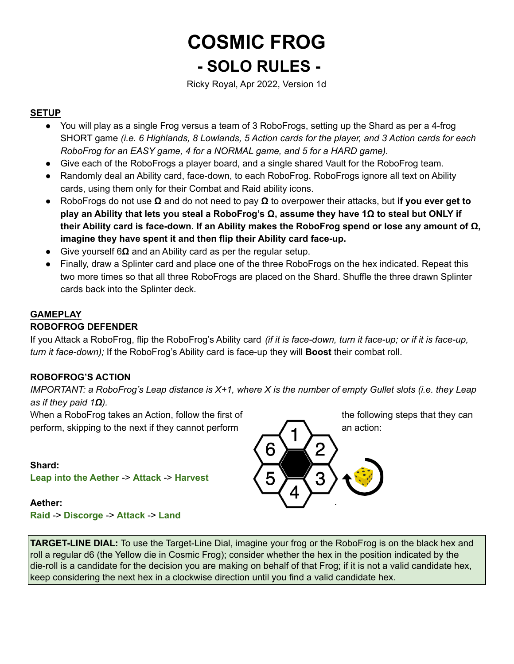# **COSMIC FROG - SOLO RULES -**

Ricky Royal, Apr 2022, Version 1d

# **SETUP**

- You will play as a single Frog versus a team of 3 RoboFrogs, setting up the Shard as per a 4-frog SHORT game *(i.e. 6 Highlands, 8 Lowlands, 5 Action cards for the player, and 3 Action cards for each RoboFrog for an EASY game, 4 for a NORMAL game, and 5 for a HARD game).*
- Give each of the RoboFrogs a player board, and a single shared Vault for the RoboFrog team.
- Randomly deal an Ability card, face-down, to each RoboFrog. RoboFrogs ignore all text on Ability cards, using them only for their Combat and Raid ability icons.
- RoboFrogs do not use **Ω** and do not need to pay **Ω** to overpower their attacks, but **if you ever get to** play an Ability that lets you steal a RoboFrog's  $\Omega$ , assume they have 1 $\Omega$  to steal but ONLY if **their Ability card is face-down. If an Ability makes the RoboFrog spend or lose any amount of Ω, imagine they have spent it and then flip their Ability card face-up.**
- Give yourself 6**Ω** and an Ability card as per the regular setup.
- Finally, draw a Splinter card and place one of the three RoboFrogs on the hex indicated. Repeat this two more times so that all three RoboFrogs are placed on the Shard. Shuffle the three drawn Splinter cards back into the Splinter deck.

# **GAMEPLAY**

## **ROBOFROG DEFENDER**

If you Attack a RoboFrog, flip the RoboFrog's Ability card *(if it is face-down, turn it face-up; or if it is face-up, turn it face-down);* If the RoboFrog's Ability card is face-up they will **Boost** their combat roll.

## **ROBOFROG'S ACTION**

IMPORTANT: a RoboFrog's Leap distance is  $X+1$ , where X is the number of empty Gullet slots (i.e. they Leap *as if they paid 1Ω).*

When a RoboFrog takes an Action, follow the first of the following steps that they can perform, skipping to the next if they cannot perform  $\mathcal{A}$ 

**Shard: Leap into the Aether** -> **Attack** -> **Harvest**

#### **Aether: Raid** -> **Discorge** -> **Attack** -> **Land**



**TARGET-LINE DIAL:** To use the Target-Line Dial, imagine your frog or the RoboFrog is on the black hex and roll a regular d6 (the Yellow die in Cosmic Frog); consider whether the hex in the position indicated by the die-roll is a candidate for the decision you are making on behalf of that Frog; if it is not a valid candidate hex, keep considering the next hex in a clockwise direction until you find a valid candidate hex.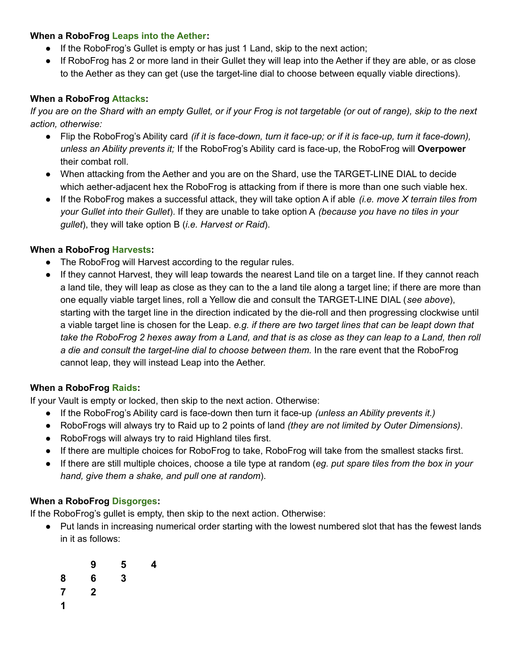#### **When a RoboFrog Leaps into the Aether:**

- If the RoboFrog's Gullet is empty or has just 1 Land, skip to the next action;
- If RoboFrog has 2 or more land in their Gullet they will leap into the Aether if they are able, or as close to the Aether as they can get (use the target-line dial to choose between equally viable directions).

## **When a RoboFrog Attacks:**

If you are on the Shard with an empty Gullet, or if your Frog is not targetable (or out of range), skip to the next *action, otherwise:*

- Flip the RoboFrog's Ability card *(if it is face-down, turn it face-up; or if it is face-up, turn it face-down), unless an Ability prevents it;* If the RoboFrog's Ability card is face-up, the RoboFrog will **Overpower** their combat roll.
- When attacking from the Aether and you are on the Shard, use the TARGET-LINE DIAL to decide which aether-adjacent hex the RoboFrog is attacking from if there is more than one such viable hex.
- If the RoboFrog makes a successful attack, they will take option A if able *(i.e. move X terrain tiles from your Gullet into their Gullet*). If they are unable to take option A *(because you have no tiles in your gullet*), they will take option B (*i.e. Harvest or Raid*).

# **When a RoboFrog Harvests:**

- The RoboFrog will Harvest according to the regular rules.
- If they cannot Harvest, they will leap towards the nearest Land tile on a target line. If they cannot reach a land tile, they will leap as close as they can to the a land tile along a target line; if there are more than one equally viable target lines, roll a Yellow die and consult the TARGET-LINE DIAL (*see above*), starting with the target line in the direction indicated by the die-roll and then progressing clockwise until a viable target line is chosen for the Leap. *e.g. if there are two target lines that can be leapt down that* take the RoboFrog 2 hexes away from a Land, and that is as close as they can leap to a Land, then roll *a die and consult the target-line dial to choose between them.* In the rare event that the RoboFrog cannot leap, they will instead Leap into the Aether.

## **When a RoboFrog Raids:**

If your Vault is empty or locked, then skip to the next action. Otherwise:

- If the RoboFrog's Ability card is face-down then turn it face-up *(unless an Ability prevents it.)*
- RoboFrogs will always try to Raid up to 2 points of land *(they are not limited by Outer Dimensions)*.
- RoboFrogs will always try to raid Highland tiles first.
- If there are multiple choices for RoboFrog to take, RoboFrog will take from the smallest stacks first.
- If there are still multiple choices, choose a tile type at random (*eg. put spare tiles from the box in your hand, give them a shake, and pull one at random*).

## **When a RoboFrog Disgorges:**

If the RoboFrog's gullet is empty, then skip to the next action. Otherwise:

- Put lands in increasing numerical order starting with the lowest numbered slot that has the fewest lands in it as follows:
	- **9 5 4**
	- **8 6 3**
	- **7 2**
	- **1**